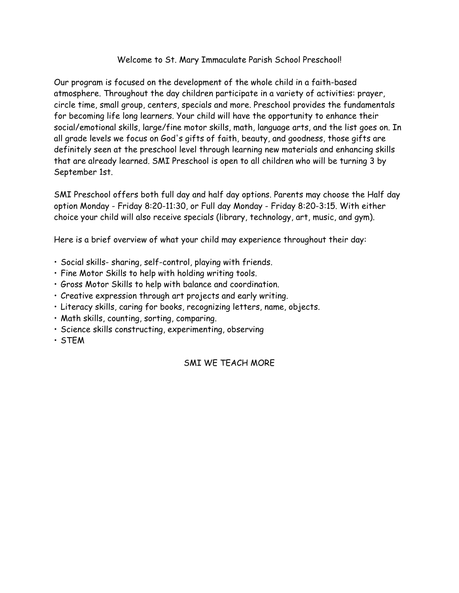## Welcome to St. Mary Immaculate Parish School Preschool!

Our program is focused on the development of the whole child in a faith-based atmosphere. Throughout the day children participate in a variety of activities: prayer, circle time, small group, centers, specials and more. Preschool provides the fundamentals for becoming life long learners. Your child will have the opportunity to enhance their social/emotional skills, large/fine motor skills, math, language arts, and the list goes on. In all grade levels we focus on God's gifts of faith, beauty, and goodness, those gifts are definitely seen at the preschool level through learning new materials and enhancing skills that are already learned. SMI Preschool is open to all children who will be turning 3 by September 1st.

SMI Preschool offers both full day and half day options. Parents may choose the Half day option Monday - Friday 8:20-11:30, or Full day Monday - Friday 8:20-3:15. With either choice your child will also receive specials (library, technology, art, music, and gym).

Here is a brief overview of what your child may experience throughout their day:

- Social skills- sharing, self-control, playing with friends.
- Fine Motor Skills to help with holding writing tools.
- Gross Motor Skills to help with balance and coordination.
- Creative expression through art projects and early writing.
- Literacy skills, caring for books, recognizing letters, name, objects.
- Math skills, counting, sorting, comparing.
- Science skills constructing, experimenting, observing
- STEM

## SMI WE TEACH MORE